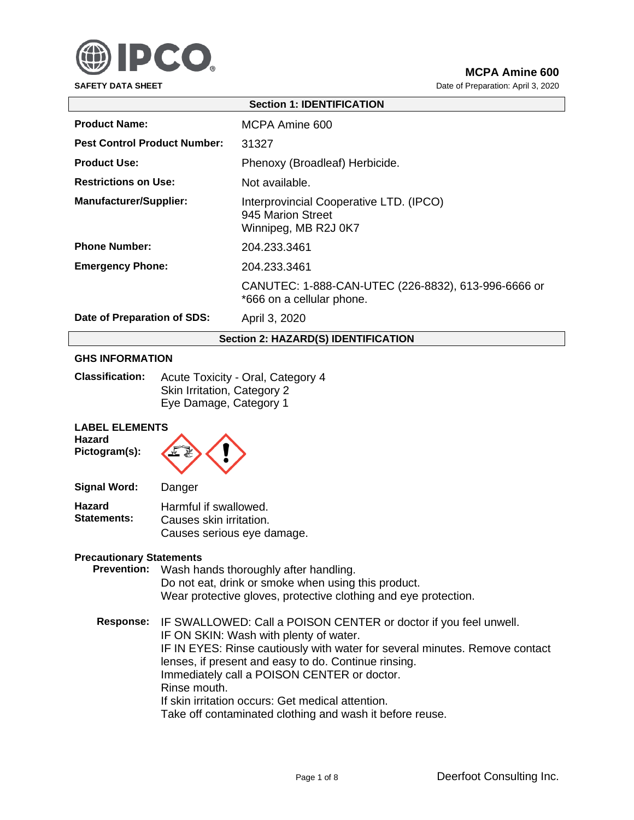

**SAFETY DATA SHEET DATA SHEET Date of Preparation: April 3, 2020** 

| <b>Section 1: IDENTIFICATION</b>           |                                                                                      |  |
|--------------------------------------------|--------------------------------------------------------------------------------------|--|
| <b>Product Name:</b>                       | MCPA Amine 600                                                                       |  |
| <b>Pest Control Product Number:</b>        | 31327                                                                                |  |
| <b>Product Use:</b>                        | Phenoxy (Broadleaf) Herbicide.                                                       |  |
| <b>Restrictions on Use:</b>                | Not available.                                                                       |  |
| <b>Manufacturer/Supplier:</b>              | Interprovincial Cooperative LTD. (IPCO)<br>945 Marion Street<br>Winnipeg, MB R2J 0K7 |  |
| <b>Phone Number:</b>                       | 204.233.3461                                                                         |  |
| <b>Emergency Phone:</b>                    | 204.233.3461                                                                         |  |
|                                            | CANUTEC: 1-888-CAN-UTEC (226-8832), 613-996-6666 or<br>*666 on a cellular phone.     |  |
| Date of Preparation of SDS:                | April 3, 2020                                                                        |  |
| <b>Section 2: HAZARD(S) IDENTIFICATION</b> |                                                                                      |  |

# **GHS INFORMATION**

| <b>Classification:</b> | Acute Toxicity - Oral, Category 4 |
|------------------------|-----------------------------------|
|                        | Skin Irritation, Category 2       |
|                        | Eye Damage, Category 1            |

# **LABEL ELEMENTS**

**Hazard Pictogram(s):**



| Signal Word:                        | Danger                                           |
|-------------------------------------|--------------------------------------------------|
| <b>Hazard</b><br><b>Statements:</b> | Harmful if swallowed.<br>Causes skin irritation. |
|                                     | Causes serious eye damage.                       |

#### **Precautionary Statements**

| <b>Prevention:</b> | Wash hands thoroughly after handling.<br>Do not eat, drink or smoke when using this product.<br>Wear protective gloves, protective clothing and eye protection.                                  |
|--------------------|--------------------------------------------------------------------------------------------------------------------------------------------------------------------------------------------------|
|                    | Response: IF SWALLOWED: Call a POISON CENTER or doctor if you feel unwell.<br>IF ON SKIN: Wash with plenty of water.<br>IF IN EYES: Rinse cautiously with water for several minutes. Remove con- |

le contact lenses, if present and easy to do. Continue rinsing. Immediately call a POISON CENTER or doctor. Rinse mouth. If skin irritation occurs: Get medical attention.

Take off contaminated clothing and wash it before reuse.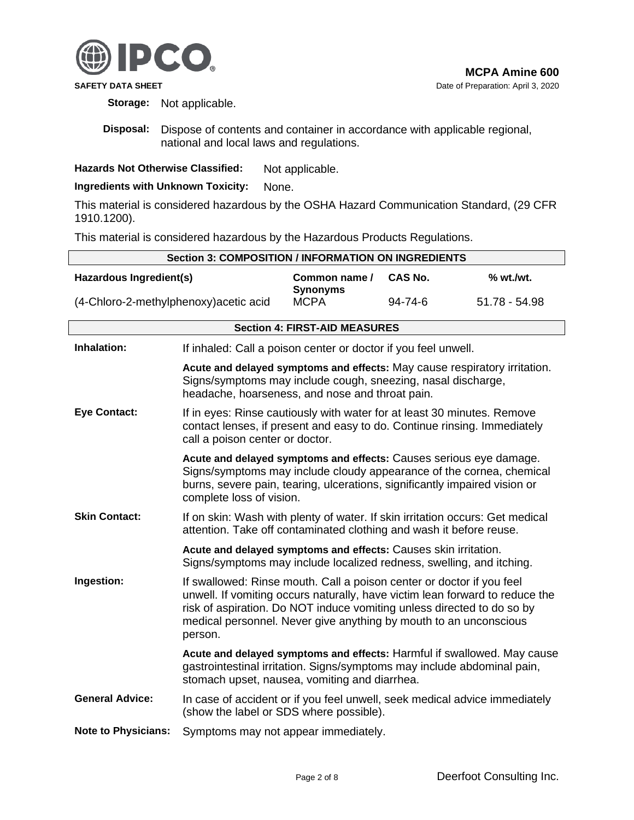

**Storage:** Not applicable.

**Disposal:** Dispose of contents and container in accordance with applicable regional, national and local laws and regulations.

**Hazards Not Otherwise Classified:** Not applicable.

**Ingredients with Unknown Toxicity:** None.

This material is considered hazardous by the OSHA Hazard Communication Standard, (29 CFR 1910.1200).

This material is considered hazardous by the Hazardous Products Regulations.

| <b>Section 3: COMPOSITION / INFORMATION ON INGREDIENTS</b> |                                                                                                                                                                                                                                                                                                                 |                                      |                |                                                                         |
|------------------------------------------------------------|-----------------------------------------------------------------------------------------------------------------------------------------------------------------------------------------------------------------------------------------------------------------------------------------------------------------|--------------------------------------|----------------|-------------------------------------------------------------------------|
| Hazardous Ingredient(s)                                    |                                                                                                                                                                                                                                                                                                                 | Common name /<br><b>Synonyms</b>     | <b>CAS No.</b> | % wt./wt.                                                               |
| (4-Chloro-2-methylphenoxy) acetic acid                     |                                                                                                                                                                                                                                                                                                                 | <b>MCPA</b>                          | 94-74-6        | 51.78 - 54.98                                                           |
|                                                            |                                                                                                                                                                                                                                                                                                                 | <b>Section 4: FIRST-AID MEASURES</b> |                |                                                                         |
| Inhalation:                                                | If inhaled: Call a poison center or doctor if you feel unwell.                                                                                                                                                                                                                                                  |                                      |                |                                                                         |
|                                                            | Acute and delayed symptoms and effects: May cause respiratory irritation.<br>Signs/symptoms may include cough, sneezing, nasal discharge,<br>headache, hoarseness, and nose and throat pain.                                                                                                                    |                                      |                |                                                                         |
| <b>Eye Contact:</b>                                        | If in eyes: Rinse cautiously with water for at least 30 minutes. Remove<br>contact lenses, if present and easy to do. Continue rinsing. Immediately<br>call a poison center or doctor.                                                                                                                          |                                      |                |                                                                         |
|                                                            | Acute and delayed symptoms and effects: Causes serious eye damage.<br>Signs/symptoms may include cloudy appearance of the cornea, chemical<br>burns, severe pain, tearing, ulcerations, significantly impaired vision or<br>complete loss of vision.                                                            |                                      |                |                                                                         |
| <b>Skin Contact:</b>                                       | If on skin: Wash with plenty of water. If skin irritation occurs: Get medical<br>attention. Take off contaminated clothing and wash it before reuse.                                                                                                                                                            |                                      |                |                                                                         |
|                                                            | Acute and delayed symptoms and effects: Causes skin irritation.<br>Signs/symptoms may include localized redness, swelling, and itching.                                                                                                                                                                         |                                      |                |                                                                         |
| Ingestion:                                                 | If swallowed: Rinse mouth. Call a poison center or doctor if you feel<br>unwell. If vomiting occurs naturally, have victim lean forward to reduce the<br>risk of aspiration. Do NOT induce vomiting unless directed to do so by<br>medical personnel. Never give anything by mouth to an unconscious<br>person. |                                      |                |                                                                         |
|                                                            | gastrointestinal irritation. Signs/symptoms may include abdominal pain,<br>stomach upset, nausea, vomiting and diarrhea.                                                                                                                                                                                        |                                      |                | Acute and delayed symptoms and effects: Harmful if swallowed. May cause |
| <b>General Advice:</b>                                     | In case of accident or if you feel unwell, seek medical advice immediately<br>(show the label or SDS where possible).                                                                                                                                                                                           |                                      |                |                                                                         |
| <b>Note to Physicians:</b>                                 | Symptoms may not appear immediately.                                                                                                                                                                                                                                                                            |                                      |                |                                                                         |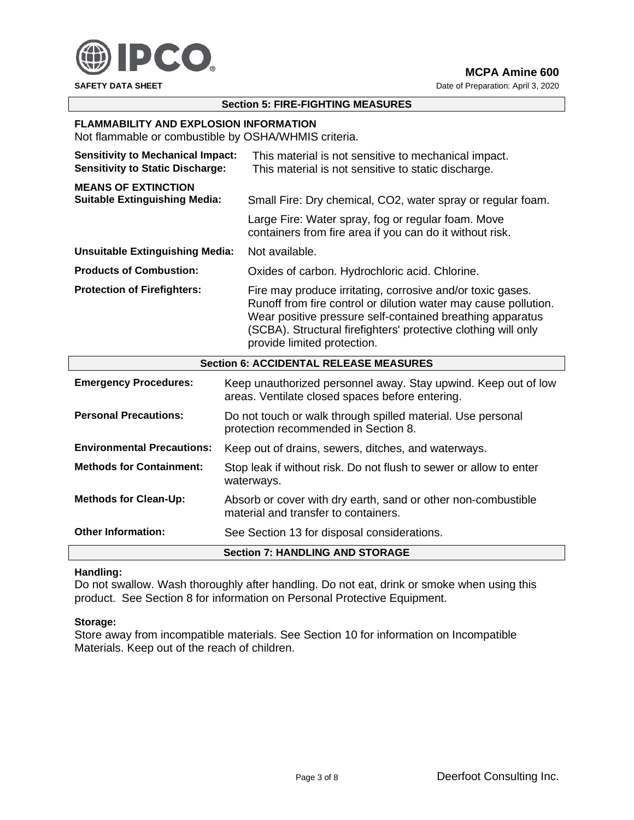

**SAFETY DATA SHEET DATA SHEET Date of Preparation: April 3, 2020** 

## **Section 5: FIRE-FIGHTING MEASURES**

### **FLAMMABILITY AND EXPLOSION INFORMATION**

Not flammable or combustible by OSHA/WHMIS criteria.

| <b>Sensitivity to Mechanical Impact:</b><br><b>Sensitivity to Static Discharge:</b> | This material is not sensitive to mechanical impact.<br>This material is not sensitive to static discharge.                                                                                                                                                                                 |  |
|-------------------------------------------------------------------------------------|---------------------------------------------------------------------------------------------------------------------------------------------------------------------------------------------------------------------------------------------------------------------------------------------|--|
| <b>MEANS OF EXTINCTION</b><br><b>Suitable Extinguishing Media:</b>                  | Small Fire: Dry chemical, CO2, water spray or regular foam.<br>Large Fire: Water spray, fog or regular foam. Move<br>containers from fire area if you can do it without risk.                                                                                                               |  |
| <b>Unsuitable Extinguishing Media:</b>                                              | Not available.                                                                                                                                                                                                                                                                              |  |
| <b>Products of Combustion:</b>                                                      | Oxides of carbon. Hydrochloric acid. Chlorine.                                                                                                                                                                                                                                              |  |
| <b>Protection of Firefighters:</b>                                                  | Fire may produce irritating, corrosive and/or toxic gases.<br>Runoff from fire control or dilution water may cause pollution.<br>Wear positive pressure self-contained breathing apparatus<br>(SCBA). Structural firefighters' protective clothing will only<br>provide limited protection. |  |
|                                                                                     | <b>Section 6: ACCIDENTAL RELEASE MEASURES</b>                                                                                                                                                                                                                                               |  |
| <b>Emergency Procedures:</b>                                                        | Keep unauthorized personnel away. Stay upwind. Keep out of low                                                                                                                                                                                                                              |  |

|                                   | <b>Section 7: HANDLING AND STORAGE</b>                                                                                 |
|-----------------------------------|------------------------------------------------------------------------------------------------------------------------|
| <b>Other Information:</b>         | See Section 13 for disposal considerations.                                                                            |
| <b>Methods for Clean-Up:</b>      | Absorb or cover with dry earth, sand or other non-combustible<br>material and transfer to containers.                  |
| <b>Methods for Containment:</b>   | Stop leak if without risk. Do not flush to sewer or allow to enter<br>waterways.                                       |
| <b>Environmental Precautions:</b> | Keep out of drains, sewers, ditches, and waterways.                                                                    |
| <b>Personal Precautions:</b>      | Do not touch or walk through spilled material. Use personal<br>protection recommended in Section 8.                    |
|                                   | <u>Roop andamonzoa poroonnol away. Olay apwina. Roop oat ol low</u><br>areas. Ventilate closed spaces before entering. |

### **Handling:**

Do not swallow. Wash thoroughly after handling. Do not eat, drink or smoke when using this product. See Section 8 for information on Personal Protective Equipment.

#### **Storage:**

Store away from incompatible materials. See Section 10 for information on Incompatible Materials. Keep out of the reach of children.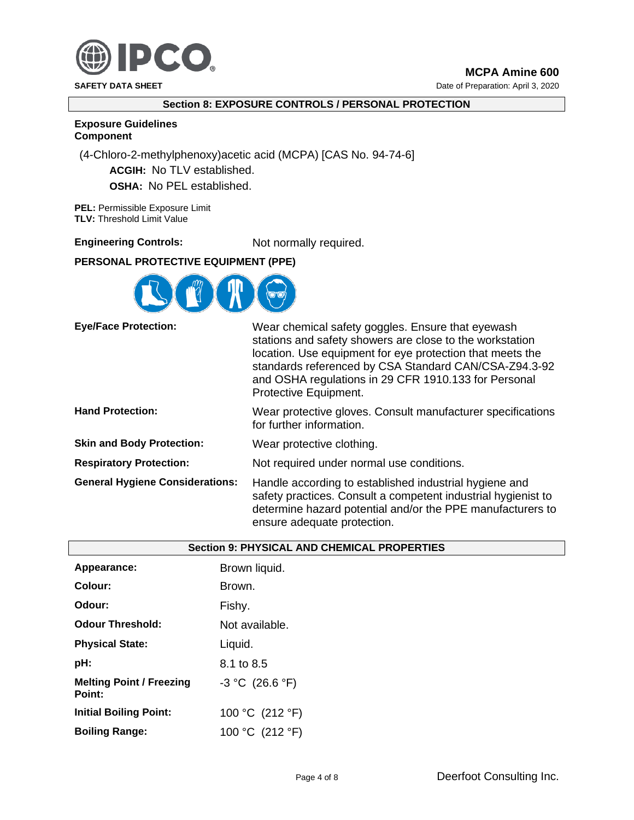

**SAFETY DATA SHEET DATA SHEET Date of Preparation: April 3, 2020** 

# **Section 8: EXPOSURE CONTROLS / PERSONAL PROTECTION**

**Exposure Guidelines**

# **Component**

(4-Chloro-2-methylphenoxy)acetic acid (MCPA) [CAS No. 94-74-6]

**ACGIH:** No TLV established.

**OSHA:** No PEL established.

**PEL:** Permissible Exposure Limit **TLV:** Threshold Limit Value

# **Engineering Controls:** Not normally required.

# **PERSONAL PROTECTIVE EQUIPMENT (PPE)**



**Eye/Face Protection:** Wear chemical safety goggles. Ensure that eyewash

|                                        | <u>Wedi bilbililodi baroty goggioo. Eribaro tilat oyowabili</u><br>stations and safety showers are close to the workstation<br>location. Use equipment for eye protection that meets the<br>standards referenced by CSA Standard CAN/CSA-Z94.3-92<br>and OSHA regulations in 29 CFR 1910.133 for Personal<br>Protective Equipment. |
|----------------------------------------|------------------------------------------------------------------------------------------------------------------------------------------------------------------------------------------------------------------------------------------------------------------------------------------------------------------------------------|
| <b>Hand Protection:</b>                | Wear protective gloves. Consult manufacturer specifications<br>for further information.                                                                                                                                                                                                                                            |
| <b>Skin and Body Protection:</b>       | Wear protective clothing.                                                                                                                                                                                                                                                                                                          |
| <b>Respiratory Protection:</b>         | Not required under normal use conditions.                                                                                                                                                                                                                                                                                          |
| <b>General Hygiene Considerations:</b> | Handle according to established industrial hygiene and<br>safety practices. Consult a competent industrial hygienist to<br>determine hazard potential and/or the PPE manufacturers to<br>ensure adequate protection.                                                                                                               |

|                                           | <b>Section 9: PHYSICAL AND CHEMICAL PROPERTIES</b> |  |
|-------------------------------------------|----------------------------------------------------|--|
| Appearance:                               | Brown liquid.                                      |  |
| Colour:                                   | Brown.                                             |  |
| Odour:                                    | Fishy.                                             |  |
| <b>Odour Threshold:</b>                   | Not available.                                     |  |
| <b>Physical State:</b>                    | Liquid.                                            |  |
| pH:                                       | 8.1 to 8.5                                         |  |
| <b>Melting Point / Freezing</b><br>Point: | $-3 °C$ (26.6 °F)                                  |  |
| <b>Initial Boiling Point:</b>             | 100 °C (212 °F)                                    |  |
| <b>Boiling Range:</b>                     | 100 °C (212 °F)                                    |  |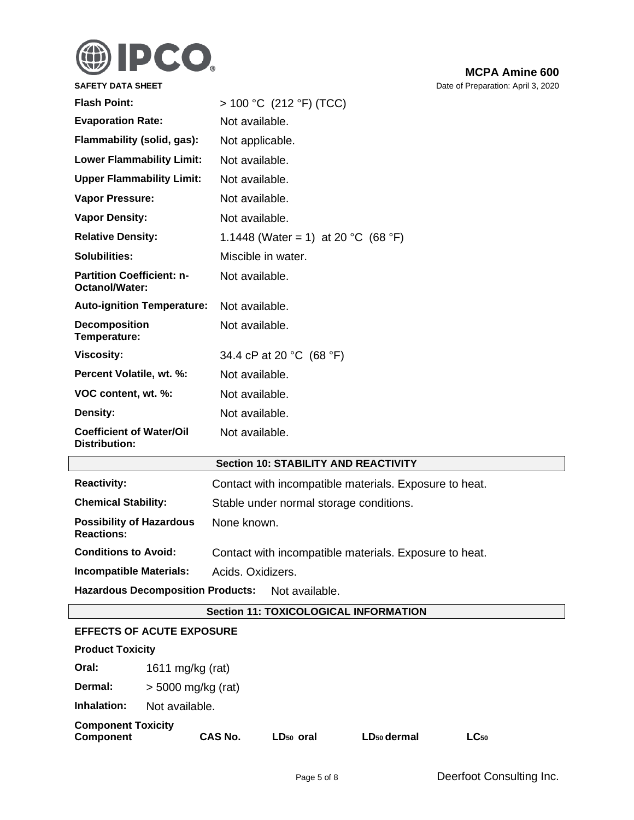

| <b>SAFETY DATA SHEET</b>                             | Date of Preparation: April 3, 2020                     |  |
|------------------------------------------------------|--------------------------------------------------------|--|
| <b>Flash Point:</b>                                  | $> 100 °C$ (212 °F) (TCC)                              |  |
| <b>Evaporation Rate:</b>                             | Not available.                                         |  |
| Flammability (solid, gas):                           | Not applicable.                                        |  |
| <b>Lower Flammability Limit:</b>                     | Not available.                                         |  |
| <b>Upper Flammability Limit:</b>                     | Not available.                                         |  |
| <b>Vapor Pressure:</b>                               | Not available.                                         |  |
| <b>Vapor Density:</b>                                | Not available.                                         |  |
| <b>Relative Density:</b>                             | 1.1448 (Water = 1) at 20 °C (68 °F)                    |  |
| <b>Solubilities:</b>                                 | Miscible in water.                                     |  |
| <b>Partition Coefficient: n-</b><br>Octanol/Water:   | Not available.                                         |  |
| <b>Auto-ignition Temperature:</b>                    | Not available.                                         |  |
| Decomposition<br>Temperature:                        | Not available.                                         |  |
| <b>Viscosity:</b>                                    | 34.4 cP at 20 °C (68 °F)                               |  |
| Percent Volatile, wt. %:                             | Not available.                                         |  |
| VOC content, wt. %:                                  | Not available.                                         |  |
| Density:                                             | Not available.                                         |  |
| <b>Coefficient of Water/Oil</b><br>Distribution:     | Not available.                                         |  |
|                                                      | <b>Section 10: STABILITY AND REACTIVITY</b>            |  |
| <b>Reactivity:</b>                                   | Contact with incompatible materials. Exposure to heat. |  |
| <b>Chemical Stability:</b>                           | Stable under normal storage conditions.                |  |
| <b>Possibility of Hazardous</b><br><b>Reactions:</b> | None known.                                            |  |
| <b>Conditions to Avoid:</b>                          | Contact with incompatible materials. Exposure to heat. |  |
| <b>Incompatible Materials:</b>                       | Acids. Oxidizers.                                      |  |
| <b>Hazardous Decomposition Products:</b>             | Not available.                                         |  |

# **Section 11: TOXICOLOGICAL INFORMATION**

## **EFFECTS OF ACUTE EXPOSURE**

| <b>Product Toxicity</b>                       |                      |                       |                         |           |  |
|-----------------------------------------------|----------------------|-----------------------|-------------------------|-----------|--|
| Oral:                                         | 1611 mg/kg (rat)     |                       |                         |           |  |
| Dermal:                                       | $>$ 5000 mg/kg (rat) |                       |                         |           |  |
| Inhalation:                                   | Not available.       |                       |                         |           |  |
| <b>Component Toxicity</b><br><b>Component</b> | <b>CAS No.</b>       | LD <sub>50</sub> oral | LD <sub>50</sub> dermal | $LC_{50}$ |  |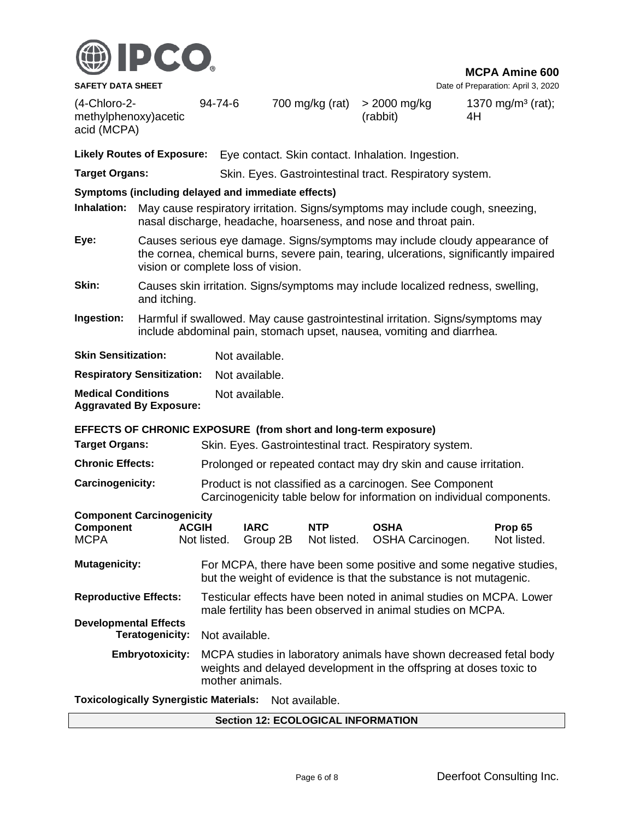

**SAFETY DATA SHEET DATA SHEET DATA SHEET DATA SHEET DATA SHEET DATA SHEET DATA SHEET DATA SHEET DATA SHEET DATA SHEET DATA SHEET DATA SHEET DATA SHEET DATA SHEET DATA SHEET DATA SHEET DATA S** 

(4-Chloro-2 methylphenoxy)acetic acid (MCPA)

94-74-6 700 mg/kg (rat) > 2000 mg/kg (rabbit)

1370 mg/m<sup>3</sup> (rat); 4H

**Likely Routes of Exposure:** Eye contact. Skin contact. Inhalation. Ingestion.

**Target Organs:** Skin. Eyes. Gastrointestinal tract. Respiratory system.

## **Symptoms (including delayed and immediate effects)**

- **Inhalation:** May cause respiratory irritation. Signs/symptoms may include cough, sneezing, nasal discharge, headache, hoarseness, and nose and throat pain.
- **Eye:** Causes serious eye damage. Signs/symptoms may include cloudy appearance of the cornea, chemical burns, severe pain, tearing, ulcerations, significantly impaired vision or complete loss of vision.
- **Skin:** Causes skin irritation. Signs/symptoms may include localized redness, swelling, and itching.
- **Ingestion:** Harmful if swallowed. May cause gastrointestinal irritation. Signs/symptoms may include abdominal pain, stomach upset, nausea, vomiting and diarrhea.

| <b>Skin Sensitization:</b>                                  | Not available. |
|-------------------------------------------------------------|----------------|
| <b>Respiratory Sensitization:</b>                           | Not available. |
| <b>Medical Conditions</b><br><b>Aggravated By Exposure:</b> | Not available. |

**EFFECTS OF CHRONIC EXPOSURE (from short and long-term exposure)**

| <b>Target Organs:</b>                                               |                             | Skin. Eyes. Gastrointestinal tract. Respiratory system.                                                                                                     |                           |                                 |                        |  |  |
|---------------------------------------------------------------------|-----------------------------|-------------------------------------------------------------------------------------------------------------------------------------------------------------|---------------------------|---------------------------------|------------------------|--|--|
| <b>Chronic Effects:</b>                                             |                             | Prolonged or repeated contact may dry skin and cause irritation.                                                                                            |                           |                                 |                        |  |  |
| Carcinogenicity:                                                    |                             | Product is not classified as a carcinogen. See Component<br>Carcinogenicity table below for information on individual components.                           |                           |                                 |                        |  |  |
| <b>Component Carcinogenicity</b><br><b>Component</b><br><b>MCPA</b> | <b>ACGIH</b><br>Not listed. | <b>IARC</b><br>Group 2B                                                                                                                                     | <b>NTP</b><br>Not listed. | <b>OSHA</b><br>OSHA Carcinogen. | Prop 65<br>Not listed. |  |  |
| <b>Mutagenicity:</b>                                                |                             | For MCPA, there have been some positive and some negative studies,<br>but the weight of evidence is that the substance is not mutagenic.                    |                           |                                 |                        |  |  |
| <b>Reproductive Effects:</b>                                        |                             | Testicular effects have been noted in animal studies on MCPA. Lower<br>male fertility has been observed in animal studies on MCPA.                          |                           |                                 |                        |  |  |
| <b>Developmental Effects</b><br>Teratogenicity:                     |                             | Not available.                                                                                                                                              |                           |                                 |                        |  |  |
| <b>Embryotoxicity:</b>                                              |                             | MCPA studies in laboratory animals have shown decreased fetal body<br>weights and delayed development in the offspring at doses toxic to<br>mother animals. |                           |                                 |                        |  |  |
|                                                                     |                             |                                                                                                                                                             |                           |                                 |                        |  |  |

**Toxicologically Synergistic Materials:** Not available.

#### **Section 12: ECOLOGICAL INFORMATION**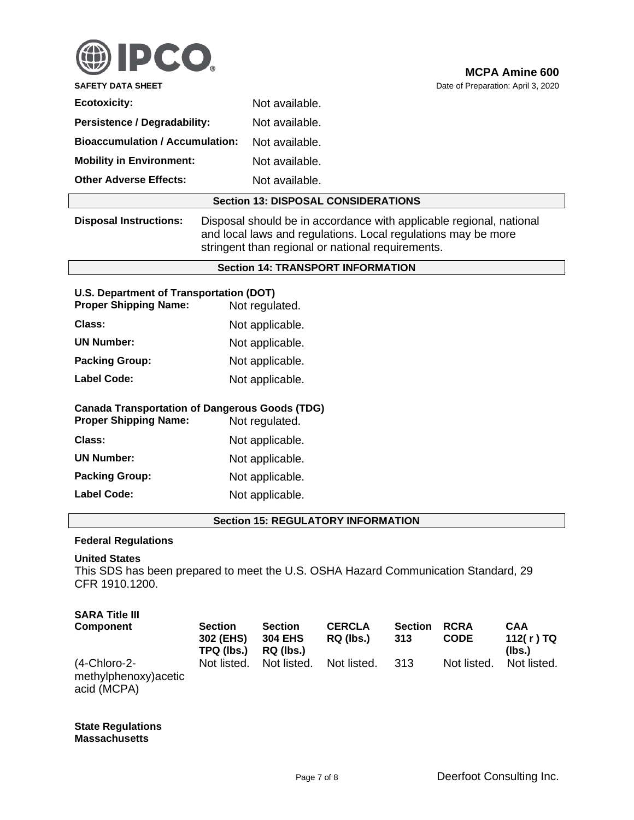

| <b>Ecotoxicity:</b>                    | Not available. |  |
|----------------------------------------|----------------|--|
| <b>Persistence / Degradability:</b>    | Not available. |  |
| <b>Bioaccumulation / Accumulation:</b> | Not available. |  |
| <b>Mobility in Environment:</b>        | Not available. |  |
| <b>Other Adverse Effects:</b>          | Not available. |  |
|                                        |                |  |

#### **Section 13: DISPOSAL CONSIDERATIONS**

**Disposal Instructions:** Disposal should be in accordance with applicable regional, national and local laws and regulations. Local regulations may be more stringent than regional or national requirements.

#### **Section 14: TRANSPORT INFORMATION**

# **U.S. Department of Transportation (DOT)**

| <b>Proper Shipping Name:</b> | Not regulated.  |
|------------------------------|-----------------|
| Class:                       | Not applicable. |
| <b>UN Number:</b>            | Not applicable. |
| <b>Packing Group:</b>        | Not applicable. |
| <b>Label Code:</b>           | Not applicable. |

# **Canada Transportation of Dangerous Goods (TDG)**

**Proper Shipping Name:** Not regulated. **Class:** Not applicable. **UN Number:** Not applicable. **Packing Group:** Not applicable.

Label Code: Not applicable.

# **Section 15: REGULATORY INFORMATION**

## **Federal Regulations**

# **United States**

This SDS has been prepared to meet the U.S. OSHA Hazard Communication Standard, 29 CFR 1910.1200.

# **SARA Title III**

| Component                                            | <b>Section</b><br>302 (EHS)<br>TPQ (lbs.) | <b>Section</b><br><b>304 EHS</b><br>RQ (lbs.) | <b>CERCLA</b><br>RQ (lbs.) | <b>Section</b><br>313 | <b>RCRA</b><br><b>CODE</b> | <b>CAA</b><br>112(r)TQ<br>(lbs.) |
|------------------------------------------------------|-------------------------------------------|-----------------------------------------------|----------------------------|-----------------------|----------------------------|----------------------------------|
| (4-Chloro-2-<br>methylphenoxy) acetic<br>acid (MCPA) | Not listed.                               | Not listed.                                   | Not listed.                | -313                  | Not listed.                | Not listed.                      |

**State Regulations Massachusetts**